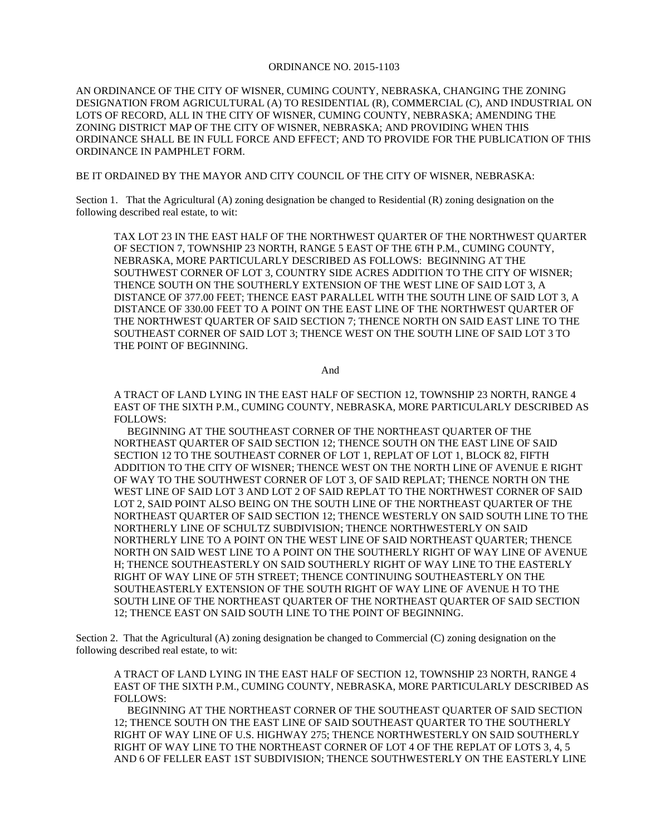## ORDINANCE NO. 2015-1103

AN ORDINANCE OF THE CITY OF WISNER, CUMING COUNTY, NEBRASKA, CHANGING THE ZONING DESIGNATION FROM AGRICULTURAL (A) TO RESIDENTIAL (R), COMMERCIAL (C), AND INDUSTRIAL ON LOTS OF RECORD, ALL IN THE CITY OF WISNER, CUMING COUNTY, NEBRASKA; AMENDING THE ZONING DISTRICT MAP OF THE CITY OF WISNER, NEBRASKA; AND PROVIDING WHEN THIS ORDINANCE SHALL BE IN FULL FORCE AND EFFECT; AND TO PROVIDE FOR THE PUBLICATION OF THIS ORDINANCE IN PAMPHLET FORM.

BE IT ORDAINED BY THE MAYOR AND CITY COUNCIL OF THE CITY OF WISNER, NEBRASKA:

Section 1. That the Agricultural (A) zoning designation be changed to Residential (R) zoning designation on the following described real estate, to wit:

TAX LOT 23 IN THE EAST HALF OF THE NORTHWEST QUARTER OF THE NORTHWEST QUARTER OF SECTION 7, TOWNSHIP 23 NORTH, RANGE 5 EAST OF THE 6TH P.M., CUMING COUNTY, NEBRASKA, MORE PARTICULARLY DESCRIBED AS FOLLOWS: BEGINNING AT THE SOUTHWEST CORNER OF LOT 3, COUNTRY SIDE ACRES ADDITION TO THE CITY OF WISNER; THENCE SOUTH ON THE SOUTHERLY EXTENSION OF THE WEST LINE OF SAID LOT 3, A DISTANCE OF 377.00 FEET; THENCE EAST PARALLEL WITH THE SOUTH LINE OF SAID LOT 3, A DISTANCE OF 330.00 FEET TO A POINT ON THE EAST LINE OF THE NORTHWEST QUARTER OF THE NORTHWEST QUARTER OF SAID SECTION 7; THENCE NORTH ON SAID EAST LINE TO THE SOUTHEAST CORNER OF SAID LOT 3; THENCE WEST ON THE SOUTH LINE OF SAID LOT 3 TO THE POINT OF BEGINNING.

And

A TRACT OF LAND LYING IN THE EAST HALF OF SECTION 12, TOWNSHIP 23 NORTH, RANGE 4 EAST OF THE SIXTH P.M., CUMING COUNTY, NEBRASKA, MORE PARTICULARLY DESCRIBED AS FOLLOWS:

BEGINNING AT THE SOUTHEAST CORNER OF THE NORTHEAST QUARTER OF THE NORTHEAST QUARTER OF SAID SECTION 12; THENCE SOUTH ON THE EAST LINE OF SAID SECTION 12 TO THE SOUTHEAST CORNER OF LOT 1, REPLAT OF LOT 1, BLOCK 82, FIFTH ADDITION TO THE CITY OF WISNER; THENCE WEST ON THE NORTH LINE OF AVENUE E RIGHT OF WAY TO THE SOUTHWEST CORNER OF LOT 3, OF SAID REPLAT; THENCE NORTH ON THE WEST LINE OF SAID LOT 3 AND LOT 2 OF SAID REPLAT TO THE NORTHWEST CORNER OF SAID LOT 2, SAID POINT ALSO BEING ON THE SOUTH LINE OF THE NORTHEAST OUARTER OF THE NORTHEAST QUARTER OF SAID SECTION 12; THENCE WESTERLY ON SAID SOUTH LINE TO THE NORTHERLY LINE OF SCHULTZ SUBDIVISION; THENCE NORTHWESTERLY ON SAID NORTHERLY LINE TO A POINT ON THE WEST LINE OF SAID NORTHEAST QUARTER; THENCE NORTH ON SAID WEST LINE TO A POINT ON THE SOUTHERLY RIGHT OF WAY LINE OF AVENUE H; THENCE SOUTHEASTERLY ON SAID SOUTHERLY RIGHT OF WAY LINE TO THE EASTERLY RIGHT OF WAY LINE OF 5TH STREET; THENCE CONTINUING SOUTHEASTERLY ON THE SOUTHEASTERLY EXTENSION OF THE SOUTH RIGHT OF WAY LINE OF AVENUE H TO THE SOUTH LINE OF THE NORTHEAST QUARTER OF THE NORTHEAST QUARTER OF SAID SECTION 12; THENCE EAST ON SAID SOUTH LINE TO THE POINT OF BEGINNING.

Section 2. That the Agricultural (A) zoning designation be changed to Commercial (C) zoning designation on the following described real estate, to wit:

A TRACT OF LAND LYING IN THE EAST HALF OF SECTION 12, TOWNSHIP 23 NORTH, RANGE 4 EAST OF THE SIXTH P.M., CUMING COUNTY, NEBRASKA, MORE PARTICULARLY DESCRIBED AS FOLLOWS:

BEGINNING AT THE NORTHEAST CORNER OF THE SOUTHEAST QUARTER OF SAID SECTION 12; THENCE SOUTH ON THE EAST LINE OF SAID SOUTHEAST QUARTER TO THE SOUTHERLY RIGHT OF WAY LINE OF U.S. HIGHWAY 275; THENCE NORTHWESTERLY ON SAID SOUTHERLY RIGHT OF WAY LINE TO THE NORTHEAST CORNER OF LOT 4 OF THE REPLAT OF LOTS 3, 4, 5 AND 6 OF FELLER EAST 1ST SUBDIVISION; THENCE SOUTHWESTERLY ON THE EASTERLY LINE